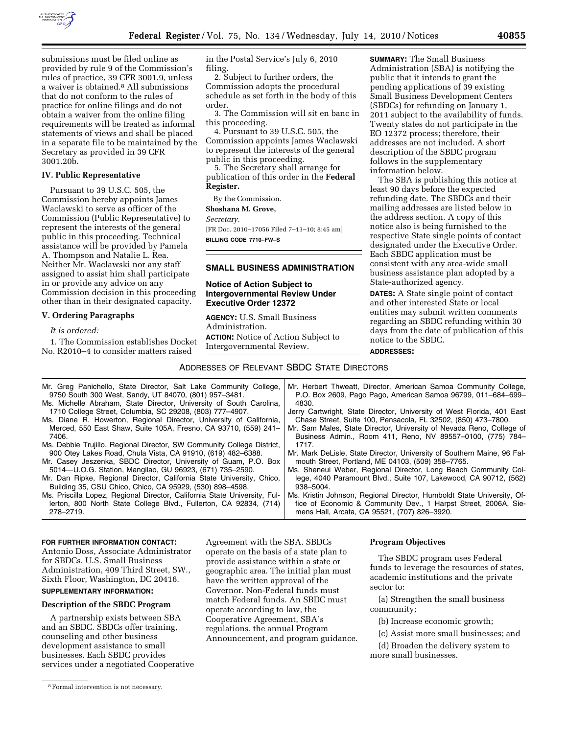

submissions must be filed online as provided by rule 9 of the Commission's rules of practice, 39 CFR 3001.9, unless a waiver is obtained.8 All submissions that do not conform to the rules of practice for online filings and do not obtain a waiver from the online filing requirements will be treated as informal statements of views and shall be placed in a separate file to be maintained by the Secretary as provided in 39 CFR 3001.20b.

## **IV. Public Representative**

Pursuant to 39 U.S.C. 505, the Commission hereby appoints James Waclawski to serve as officer of the Commission (Public Representative) to represent the interests of the general public in this proceeding. Technical assistance will be provided by Pamela A. Thompson and Natalie L. Rea. Neither Mr. Waclawski nor any staff assigned to assist him shall participate in or provide any advice on any Commission decision in this proceeding other than in their designated capacity.

# **V. Ordering Paragraphs**

#### *It is ordered:*

278–2719.

1. The Commission establishes Docket No. R2010–4 to consider matters raised

in the Postal Service's July 6, 2010 filing.

2. Subject to further orders, the Commission adopts the procedural schedule as set forth in the body of this order.

3. The Commission will sit en banc in this proceeding.

4. Pursuant to 39 U.S.C. 505, the Commission appoints James Waclawski to represent the interests of the general public in this proceeding.

5. The Secretary shall arrange for publication of this order in the **Federal Register.** 

By the Commission.

**Shoshana M. Grove,** 

*Secretary.* 

[FR Doc. 2010–17056 Filed 7–13–10; 8:45 am] **BILLING CODE 7710–FW–S** 

# **SMALL BUSINESS ADMINISTRATION**

# **Notice of Action Subject to Intergovernmental Review Under Executive Order 12372**

**AGENCY:** U.S. Small Business Administration. **ACTION:** Notice of Action Subject to Intergovernmental Review.

**SUMMARY:** The Small Business Administration (SBA) is notifying the public that it intends to grant the pending applications of 39 existing Small Business Development Centers (SBDCs) for refunding on January 1, 2011 subject to the availability of funds. Twenty states do not participate in the EO 12372 process; therefore, their addresses are not included. A short description of the SBDC program follows in the supplementary information below.

The SBA is publishing this notice at least 90 days before the expected refunding date. The SBDCs and their mailing addresses are listed below in the address section. A copy of this notice also is being furnished to the respective State single points of contact designated under the Executive Order. Each SBDC application must be consistent with any area-wide small business assistance plan adopted by a State-authorized agency.

**DATES:** A State single point of contact and other interested State or local entities may submit written comments regarding an SBDC refunding within 30 days from the date of publication of this notice to the SBDC.

**ADDRESSES:** 

## ADDRESSES OF RELEVANT SBDC STATE DIRECTORS

- Mr. Greg Panichello, State Director, Salt Lake Community College, 9750 South 300 West, Sandy, UT 84070, (801) 957–3481. Ms. Michelle Abraham, State Director, University of South Carolina, 1710 College Street, Columbia, SC 29208, (803) 777–4907. Ms. Diane R. Howerton, Regional Director, University of California, Merced, 550 East Shaw, Suite 105A, Fresno, CA 93710, (559) 241– 7406. Ms. Debbie Trujillo, Regional Director, SW Community College District, 900 Otey Lakes Road, Chula Vista, CA 91910, (619) 482–6388. Mr. Casey Jeszenka, SBDC Director, University of Guam, P.O. Box 5014—U.O.G. Station, Mangilao, GU 96923, (671) 735–2590. Mr. Dan Ripke, Regional Director, California State University, Chico, Building 35, CSU Chico, Chico, CA 95929, (530) 898–4598. Mr. Herbert Thweatt, Director, American Samoa Community College, P.O. Box 2609, Pago Pago, American Samoa 96799, 011–684–699– 4830. Jerry Cartwright, State Director, University of West Florida, 401 East Chase Street, Suite 100, Pensacola, FL 32502, (850) 473–7800. Mr. Sam Males, State Director, University of Nevada Reno, College of Business Admin., Room 411, Reno, NV 89557–0100, (775) 784– 1717. Mr. Mark DeLisle, State Director, University of Southern Maine, 96 Falmouth Street, Portland, ME 04103, (509) 358–7765. Ms. Sheneui Weber, Regional Director, Long Beach Community College, 4040 Paramount Blvd., Suite 107, Lakewood, CA 90712, (562) 938–5004.
- Ms. Priscilla Lopez, Regional Director, California State University, Fullerton, 800 North State College Blvd., Fullerton, CA 92834, (714) Ms. Kristin Johnson, Regional Director, Humboldt State University, Office of Economic & Community Dev., 1 Harpst Street, 2006A, Siemens Hall, Arcata, CA 95521, (707) 826–3920.

## **FOR FURTHER INFORMATION CONTACT:**

Antonio Doss, Associate Administrator for SBDCs, U.S. Small Business Administration, 409 Third Street, SW., Sixth Floor, Washington, DC 20416.

## **SUPPLEMENTARY INFORMATION:**

## **Description of the SBDC Program**

A partnership exists between SBA and an SBDC. SBDCs offer training, counseling and other business development assistance to small businesses. Each SBDC provides services under a negotiated Cooperative Agreement with the SBA. SBDCs operate on the basis of a state plan to provide assistance within a state or geographic area. The initial plan must have the written approval of the Governor. Non-Federal funds must match Federal funds. An SBDC must operate according to law, the Cooperative Agreement, SBA's regulations, the annual Program Announcement, and program guidance.

#### **Program Objectives**

The SBDC program uses Federal funds to leverage the resources of states, academic institutions and the private sector to:

(a) Strengthen the small business community;

(b) Increase economic growth;

(c) Assist more small businesses; and

(d) Broaden the delivery system to more small businesses.

<sup>8</sup>Formal intervention is not necessary.